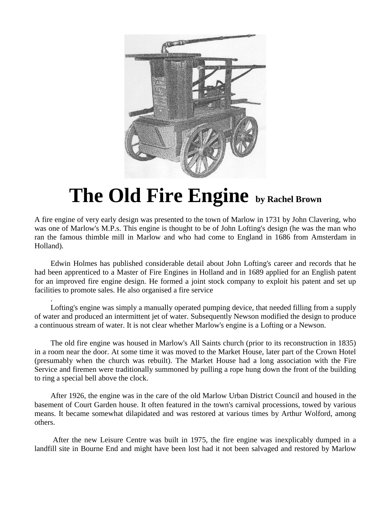

## **The Old Fire Engine by Rachel Brown**

A fire engine of very early design was presented to the town of Marlow in 1731 by John Clavering, who was one of Marlow's M.P.s. This engine is thought to be of John Lofting's design (he was the man who ran the famous thimble mill in Marlow and who had come to England in 1686 from Amsterdam in Holland).

Edwin Holmes has published considerable detail about John Lofting's career and records that he had been apprenticed to a Master of Fire Engines in Holland and in 1689 applied for an English patent for an improved fire engine design. He formed a joint stock company to exploit his patent and set up facilities to promote sales. He also organised a fire service

Lofting's engine was simply a manually operated pumping device, that needed filling from a supply of water and produced an intermittent jet of water. Subsequently Newson modified the design to produce a continuous stream of water. It is not clear whether Marlow's engine is a Lofting or a Newson.

.

The old fire engine was housed in Marlow's All Saints church (prior to its reconstruction in 1835) in a room near the door. At some time it was moved to the Market House, later part of the Crown Hotel (presumably when the church was rebuilt). The Market House had a long association with the Fire Service and firemen were traditionally summoned by pulling a rope hung down the front of the building to ring a special bell above the clock.

After 1926, the engine was in the care of the old Marlow Urban District Council and housed in the basement of Court Garden house. It often featured in the town's carnival processions, towed by various means. It became somewhat dilapidated and was restored at various times by Arthur Wolford, among others.

After the new Leisure Centre was built in 1975, the fire engine was inexplicably dumped in a landfill site in Bourne End and might have been lost had it not been salvaged and restored by Marlow